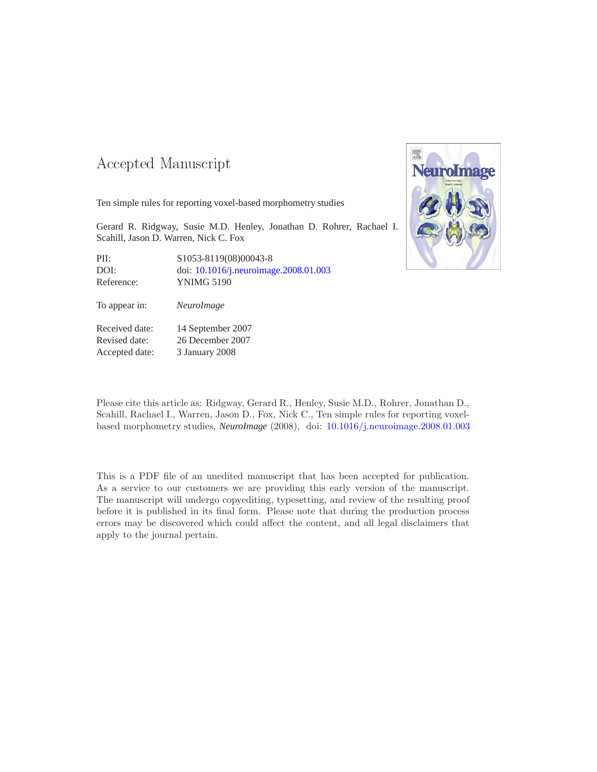#### -- -

Ten simple rules for reporting voxel-based morphometry studies

Gerard R. Ridgway, Susie M.D. Henley, Jonathan D. Rohrer, Rachael I. Scahill, Jason D. Warren, Nick C. Fox

PII: S1053-8119(08)00043-8 DOI: doi: [10.1016/j.neuroimage.2008.01.003](http://dx.doi.org/10.1016/j.neuroimage.2008.01.003) Reference: YNIMG 5190

To appear in: *NeuroImage*

Received date: 14 September 2007 Revised date: 26 December 2007 Accepted date: 3 January 2008



Please cite this article as: Ridgway, Gerard R., Henley, Susie M.D., Rohrer, Jonathan D., Scahill, Rachael I., Warren, Jason D., Fox, Nick C., Ten simple rules for reporting voxelbased morphometry studies, *NeuroImage* (2008), doi: [10.1016/j.neuroimage.2008.01.003](http://dx.doi.org/10.1016/j.neuroimage.2008.01.003)

This is a PDF file of an unedited manuscript that has been accepted for publication. As a service to our customers we are providing this early version of the manuscript. The manuscript will undergo copyediting, typesetting, and review of the resulting proof before it is published in its final form. Please note that during the production process errors may be discovered which could affect the content, and all legal disclaimers that apply to the journal pertain.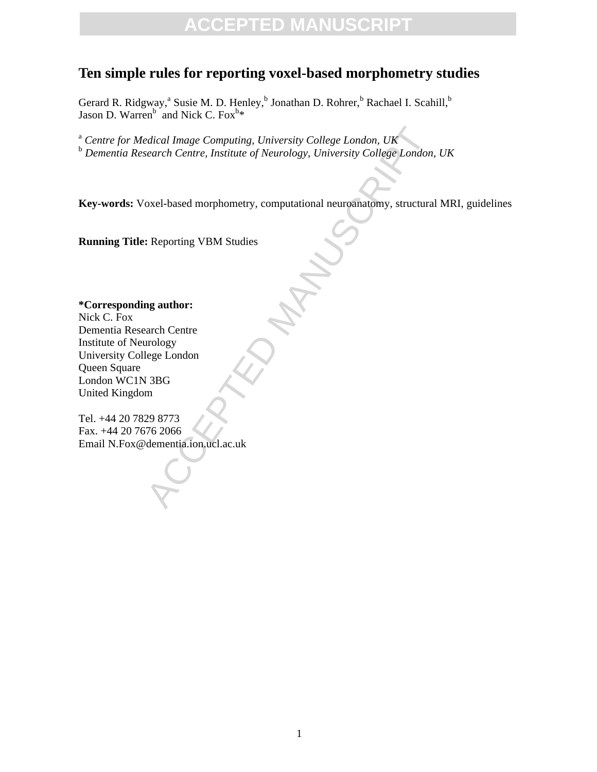#### **Ten simple rules for reporting voxel-based morphometry studies**

Gerard R. Ridgway,<sup>a</sup> Susie M. D. Henley,<sup>b</sup> Jonathan D. Rohrer,<sup>b</sup> Rachael I. Scahill,<sup>b</sup> Jason D. Warren<sup>b</sup> and Nick C. Fox<sup>b\*</sup>

Exercit Centre, Institute of Neurology, University College London, UK<br>
Exercit Centre, Institute of Neurology, University College London,<br>
Oxel-based morphometry, computational neuroanatomy, structural<br>
Exerciting VBM Stud <sup>a</sup> *Centre for Medical Image Computing, University College London, UK* <sup>b</sup> *Dementia Research Centre, Institute of Neurology, University College London, UK*

**Key-words:** Voxel-based morphometry, computational neuroanatomy, structural MRI, guidelines

**Running Title:** Reporting VBM Studies

**\*Corresponding author:** Nick C. Fox Dementia Research Centre Institute of Neurology University College London Queen Square London WC1N 3BG United Kingdom

Tel. +44 20 7829 8773 Fax. +44 20 7676 2066 Email N.Fox@dementia.ion.ucl.ac.uk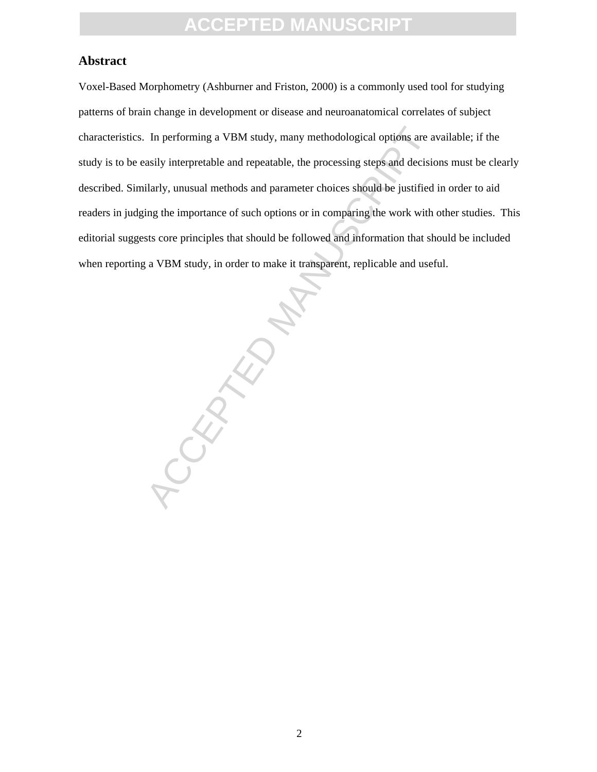#### **Abstract**

Voxel-Based Morphometry (Ashburner and Friston, 2000) is a commonly used tool for studying patterns of brain change in development or disease and neuroanatomical correlates of subject characteristics. In performing a VBM study, many methodological options are available; if the study is to be easily interpretable and repeatable, the processing steps and decisions must be clearly described. Similarly, unusual methods and parameter choices should be justified in order to aid readers in judging the importance of such options or in comparing the work with other studies. This editorial suggests core principles that should be followed and information that should be included when reporting a VBM study, in order to make it transparent, replicable and useful.

PCCEPTED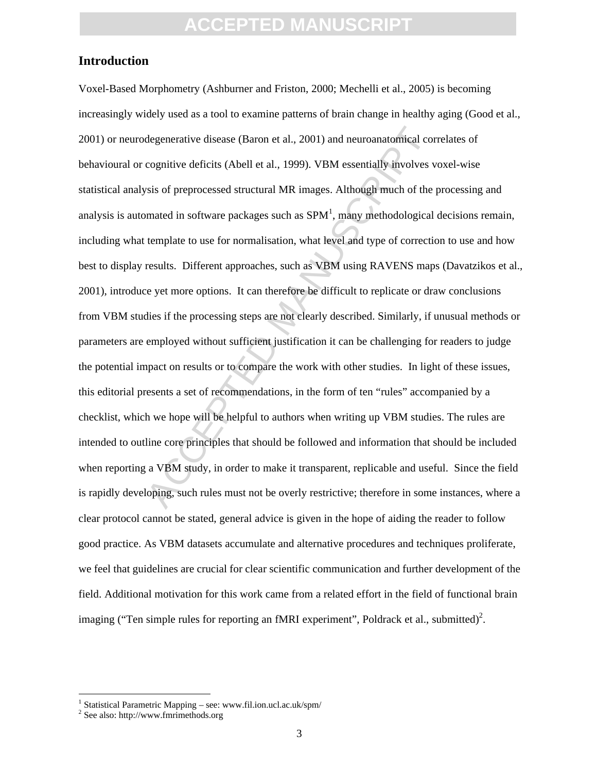#### **Introduction**

degenerative disease (Baron et al., 2001) and neuroanatomical correspondive deficits (Abell et al., 1999). VBM essentially involves v<br>sis of preprocessed structural MR images. Although much of the<br>mated in software package Voxel-Based Morphometry (Ashburner and Friston, 2000; Mechelli et al., 2005) is becoming increasingly widely used as a tool to examine patterns of brain change in healthy aging (Good et al., 2001) or neurodegenerative disease (Baron et al., 2001) and neuroanatomical correlates of behavioural or cognitive deficits (Abell et al., 1999). VBM essentially involves voxel-wise statistical analysis of preprocessed structural MR images. Although much of the processing and analysis is automated in software packages such as  $SPM<sup>1</sup>$ , many methodological decisions remain, including what template to use for normalisation, what level and type of correction to use and how best to display results. Different approaches, such as VBM using RAVENS maps (Davatzikos et al., 2001), introduce yet more options. It can therefore be difficult to replicate or draw conclusions from VBM studies if the processing steps are not clearly described. Similarly, if unusual methods or parameters are employed without sufficient justification it can be challenging for readers to judge the potential impact on results or to compare the work with other studies. In light of these issues, this editorial presents a set of recommendations, in the form of ten "rules" accompanied by a checklist, which we hope will be helpful to authors when writing up VBM studies. The rules are intended to outline core principles that should be followed and information that should be included when reporting a VBM study, in order to make it transparent, replicable and useful. Since the field is rapidly developing, such rules must not be overly restrictive; therefore in some instances, where a clear protocol cannot be stated, general advice is given in the hope of aiding the reader to follow good practice. As VBM datasets accumulate and alternative procedures and techniques proliferate, we feel that guidelines are crucial for clear scientific communication and further development of the field. Additional motivation for this work came from a related effort in the field of functional brain imaging ("Ten simple rules for reporting an fMRI experiment", Poldrack et al., submitted)<sup>2</sup>.

 $\overline{a}$ 

<sup>&</sup>lt;sup>1</sup> Statistical Parametric Mapping – see: www.fil.ion.ucl.ac.uk/spm/

<sup>2</sup> See also: http://www.fmrimethods.org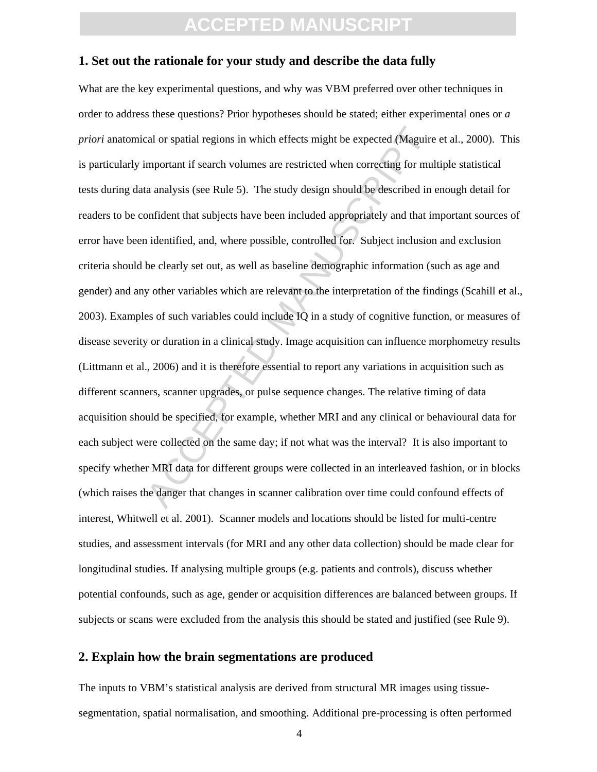#### **1. Set out the rationale for your study and describe the data fully**

cal or spatial regions in which effects might be expected (Maguire<br>mportant if search volumes are restricted when correcting for mul<br>a analysis (see Rule 5). The study design should be described in on<br>infident that subject What are the key experimental questions, and why was VBM preferred over other techniques in order to address these questions? Prior hypotheses should be stated; either experimental ones or *a priori* anatomical or spatial regions in which effects might be expected (Maguire et al., 2000). This is particularly important if search volumes are restricted when correcting for multiple statistical tests during data analysis (see Rule 5). The study design should be described in enough detail for readers to be confident that subjects have been included appropriately and that important sources of error have been identified, and, where possible, controlled for. Subject inclusion and exclusion criteria should be clearly set out, as well as baseline demographic information (such as age and gender) and any other variables which are relevant to the interpretation of the findings (Scahill et al., 2003). Examples of such variables could include IQ in a study of cognitive function, or measures of disease severity or duration in a clinical study. Image acquisition can influence morphometry results (Littmann et al., 2006) and it is therefore essential to report any variations in acquisition such as different scanners, scanner upgrades, or pulse sequence changes. The relative timing of data acquisition should be specified, for example, whether MRI and any clinical or behavioural data for each subject were collected on the same day; if not what was the interval? It is also important to specify whether MRI data for different groups were collected in an interleaved fashion, or in blocks (which raises the danger that changes in scanner calibration over time could confound effects of interest, Whitwell et al. 2001). Scanner models and locations should be listed for multi-centre studies, and assessment intervals (for MRI and any other data collection) should be made clear for longitudinal studies. If analysing multiple groups (e.g. patients and controls), discuss whether potential confounds, such as age, gender or acquisition differences are balanced between groups. If subjects or scans were excluded from the analysis this should be stated and justified (see Rule 9).

#### **2. Explain how the brain segmentations are produced**

The inputs to VBM's statistical analysis are derived from structural MR images using tissuesegmentation, spatial normalisation, and smoothing. Additional pre-processing is often performed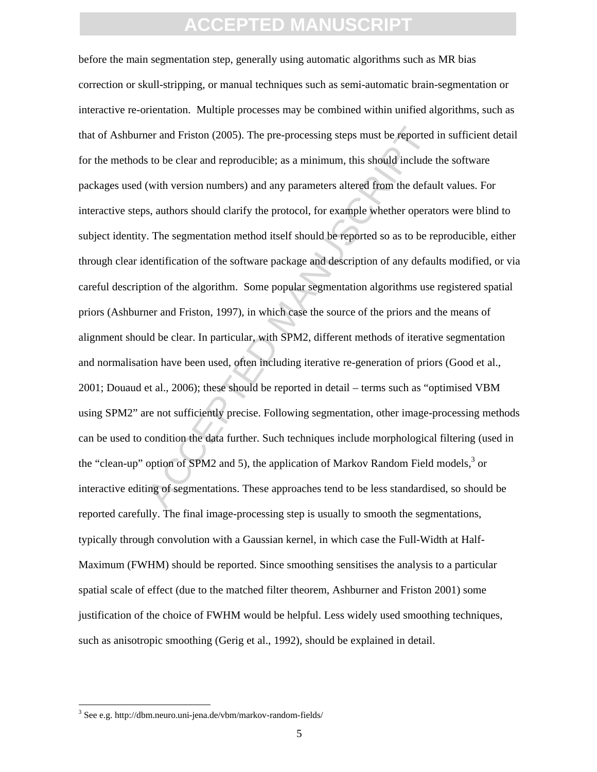ner and Friston (2005). The pre-processing steps must be reported<br>s to be clear and reproducible; as a minimum, this should include<br>(with version numbers) and any parameters altered from the defau<br>s, authors should clarify before the main segmentation step, generally using automatic algorithms such as MR bias correction or skull-stripping, or manual techniques such as semi-automatic brain-segmentation or interactive re-orientation. Multiple processes may be combined within unified algorithms, such as that of Ashburner and Friston (2005). The pre-processing steps must be reported in sufficient detail for the methods to be clear and reproducible; as a minimum, this should include the software packages used (with version numbers) and any parameters altered from the default values. For interactive steps, authors should clarify the protocol, for example whether operators were blind to subject identity. The segmentation method itself should be reported so as to be reproducible, either through clear identification of the software package and description of any defaults modified, or via careful description of the algorithm. Some popular segmentation algorithms use registered spatial priors (Ashburner and Friston, 1997), in which case the source of the priors and the means of alignment should be clear. In particular, with SPM2, different methods of iterative segmentation and normalisation have been used, often including iterative re-generation of priors (Good et al., 2001; Douaud et al., 2006); these should be reported in detail – terms such as "optimised VBM using SPM2" are not sufficiently precise. Following segmentation, other image-processing methods can be used to condition the data further. Such techniques include morphological filtering (used in the "clean-up" option of SPM2 and 5), the application of Markov Random Field models,<sup>3</sup> or interactive editing of segmentations. These approaches tend to be less standardised, so should be reported carefully. The final image-processing step is usually to smooth the segmentations, typically through convolution with a Gaussian kernel, in which case the Full-Width at Half-Maximum (FWHM) should be reported. Since smoothing sensitises the analysis to a particular spatial scale of effect (due to the matched filter theorem, Ashburner and Friston 2001) some justification of the choice of FWHM would be helpful. Less widely used smoothing techniques, such as anisotropic smoothing (Gerig et al., 1992), should be explained in detail.

l

<sup>&</sup>lt;sup>3</sup> See e.g. http://dbm.neuro.uni-jena.de/vbm/markov-random-fields/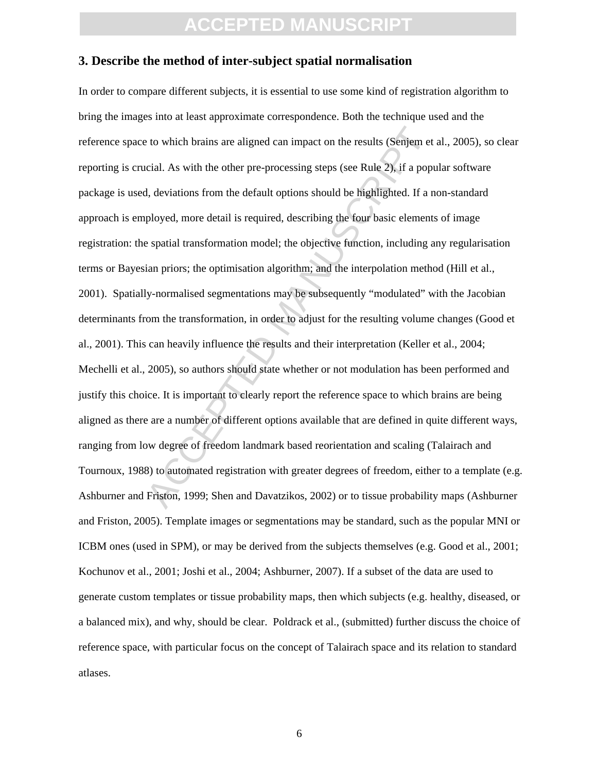#### **3. Describe the method of inter-subject spatial normalisation**

to which brains are aligned can impact on the results (Senjem et cical. As with the other pre-processing steps (see Rule 2), if a popul, deviations from the default options should be highlighted. If a n ployed, more detail In order to compare different subjects, it is essential to use some kind of registration algorithm to bring the images into at least approximate correspondence. Both the technique used and the reference space to which brains are aligned can impact on the results (Senjem et al., 2005), so clear reporting is crucial. As with the other pre-processing steps (see Rule 2), if a popular software package is used, deviations from the default options should be highlighted. If a non-standard approach is employed, more detail is required, describing the four basic elements of image registration: the spatial transformation model; the objective function, including any regularisation terms or Bayesian priors; the optimisation algorithm; and the interpolation method (Hill et al., 2001). Spatially-normalised segmentations may be subsequently "modulated" with the Jacobian determinants from the transformation, in order to adjust for the resulting volume changes (Good et al., 2001). This can heavily influence the results and their interpretation (Keller et al., 2004; Mechelli et al., 2005), so authors should state whether or not modulation has been performed and justify this choice. It is important to clearly report the reference space to which brains are being aligned as there are a number of different options available that are defined in quite different ways, ranging from low degree of freedom landmark based reorientation and scaling (Talairach and Tournoux, 1988) to automated registration with greater degrees of freedom, either to a template (e.g. Ashburner and Friston, 1999; Shen and Davatzikos, 2002) or to tissue probability maps (Ashburner and Friston, 2005). Template images or segmentations may be standard, such as the popular MNI or ICBM ones (used in SPM), or may be derived from the subjects themselves (e.g. Good et al., 2001; Kochunov et al., 2001; Joshi et al., 2004; Ashburner, 2007). If a subset of the data are used to generate custom templates or tissue probability maps, then which subjects (e.g. healthy, diseased, or a balanced mix), and why, should be clear. Poldrack et al., (submitted) further discuss the choice of reference space, with particular focus on the concept of Talairach space and its relation to standard atlases.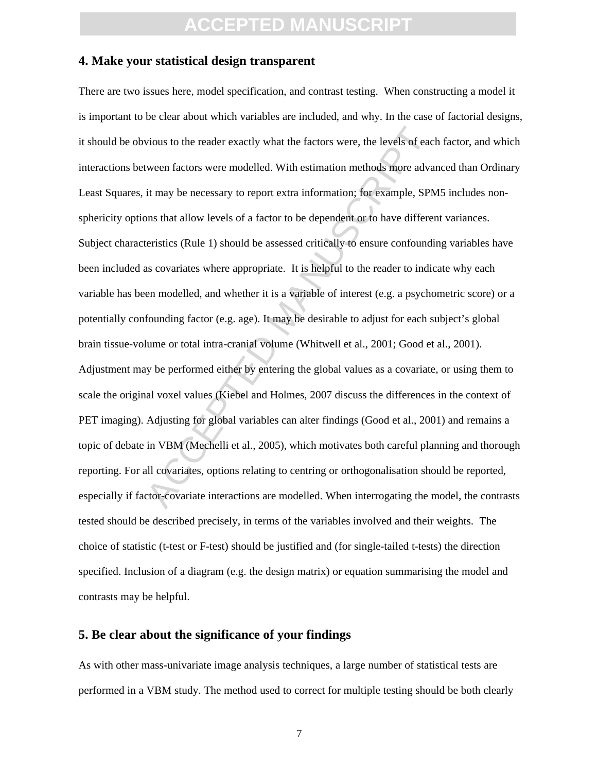#### **4. Make your statistical design transparent**

vious to the reader exactly what the factors were, the levels of each<br>ween factors were modelled. With estimation methods more advait<br>it may be necessary to report extra information; for example, SPM<br>ons that allow levels There are two issues here, model specification, and contrast testing. When constructing a model it is important to be clear about which variables are included, and why. In the case of factorial designs, it should be obvious to the reader exactly what the factors were, the levels of each factor, and which interactions between factors were modelled. With estimation methods more advanced than Ordinary Least Squares, it may be necessary to report extra information; for example, SPM5 includes nonsphericity options that allow levels of a factor to be dependent or to have different variances. Subject characteristics (Rule 1) should be assessed critically to ensure confounding variables have been included as covariates where appropriate. It is helpful to the reader to indicate why each variable has been modelled, and whether it is a variable of interest (e.g. a psychometric score) or a potentially confounding factor (e.g. age). It may be desirable to adjust for each subject's global brain tissue-volume or total intra-cranial volume (Whitwell et al., 2001; Good et al., 2001). Adjustment may be performed either by entering the global values as a covariate, or using them to scale the original voxel values (Kiebel and Holmes, 2007 discuss the differences in the context of PET imaging). Adjusting for global variables can alter findings (Good et al., 2001) and remains a topic of debate in VBM (Mechelli et al., 2005), which motivates both careful planning and thorough reporting. For all covariates, options relating to centring or orthogonalisation should be reported, especially if factor-covariate interactions are modelled. When interrogating the model, the contrasts tested should be described precisely, in terms of the variables involved and their weights. The choice of statistic (t-test or F-test) should be justified and (for single-tailed t-tests) the direction specified. Inclusion of a diagram (e.g. the design matrix) or equation summarising the model and contrasts may be helpful.

#### **5. Be clear about the significance of your findings**

As with other mass-univariate image analysis techniques, a large number of statistical tests are performed in a VBM study. The method used to correct for multiple testing should be both clearly

7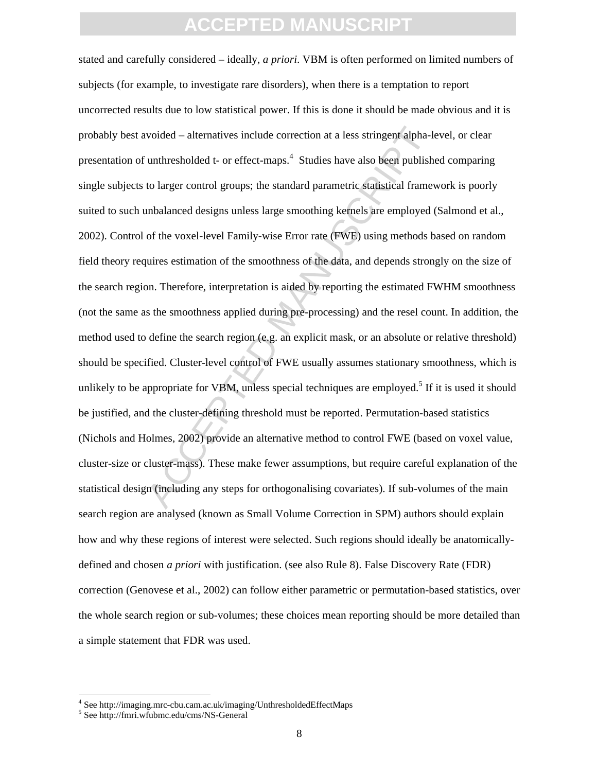woided – alternatives include correction at a less stringent alpha-le<br>unthresholded t- or effect-maps.<sup>4</sup> Studies have also been publish<br>to larger control groups; the standard parametric statistical frame<br>unbalanced design stated and carefully considered – ideally, *a priori*. VBM is often performed on limited numbers of subjects (for example, to investigate rare disorders), when there is a temptation to report uncorrected results due to low statistical power. If this is done it should be made obvious and it is probably best avoided – alternatives include correction at a less stringent alpha-level, or clear presentation of unthresholded t- or effect-maps.<sup>4</sup> Studies have also been published comparing single subjects to larger control groups; the standard parametric statistical framework is poorly suited to such unbalanced designs unless large smoothing kernels are employed (Salmond et al., 2002). Control of the voxel-level Family-wise Error rate (FWE) using methods based on random field theory requires estimation of the smoothness of the data, and depends strongly on the size of the search region. Therefore, interpretation is aided by reporting the estimated FWHM smoothness (not the same as the smoothness applied during pre-processing) and the resel count. In addition, the method used to define the search region (e.g. an explicit mask, or an absolute or relative threshold) should be specified. Cluster-level control of FWE usually assumes stationary smoothness, which is unlikely to be appropriate for VBM, unless special techniques are employed.<sup>5</sup> If it is used it should be justified, and the cluster-defining threshold must be reported. Permutation-based statistics (Nichols and Holmes, 2002) provide an alternative method to control FWE (based on voxel value, cluster-size or cluster-mass). These make fewer assumptions, but require careful explanation of the statistical design (including any steps for orthogonalising covariates). If sub-volumes of the main search region are analysed (known as Small Volume Correction in SPM) authors should explain how and why these regions of interest were selected. Such regions should ideally be anatomicallydefined and chosen *a priori* with justification. (see also Rule 8). False Discovery Rate (FDR) correction (Genovese et al., 2002) can follow either parametric or permutation-based statistics, over the whole search region or sub-volumes; these choices mean reporting should be more detailed than a simple statement that FDR was used.

 $\overline{a}$ 

<sup>4</sup> See http://imaging.mrc-cbu.cam.ac.uk/imaging/UnthresholdedEffectMaps

<sup>5</sup> See http://fmri.wfubmc.edu/cms/NS-General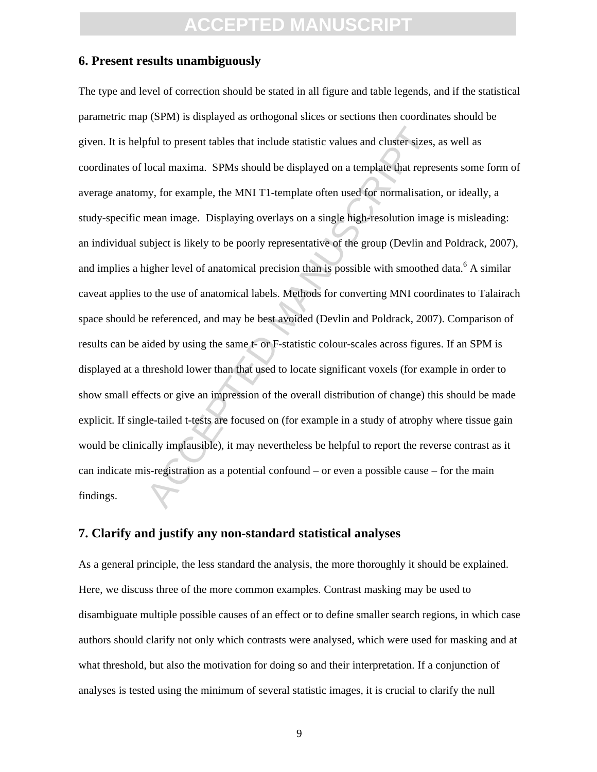#### **6. Present results unambiguously**

or following to present tables that include statistic values and cluster sizes, local maxima. SPMs should be displayed on a template that represently, for example, the MNI T1-template often used for normalisation mean imag The type and level of correction should be stated in all figure and table legends, and if the statistical parametric map (SPM) is displayed as orthogonal slices or sections then coordinates should be given. It is helpful to present tables that include statistic values and cluster sizes, as well as coordinates of local maxima. SPMs should be displayed on a template that represents some form of average anatomy, for example, the MNI T1-template often used for normalisation, or ideally, a study-specific mean image. Displaying overlays on a single high-resolution image is misleading: an individual subject is likely to be poorly representative of the group (Devlin and Poldrack, 2007), and implies a higher level of anatomical precision than is possible with smoothed data.<sup>6</sup> A similar caveat applies to the use of anatomical labels. Methods for converting MNI coordinates to Talairach space should be referenced, and may be best avoided (Devlin and Poldrack, 2007). Comparison of results can be aided by using the same t- or F-statistic colour-scales across figures. If an SPM is displayed at a threshold lower than that used to locate significant voxels (for example in order to show small effects or give an impression of the overall distribution of change) this should be made explicit. If single-tailed t-tests are focused on (for example in a study of atrophy where tissue gain would be clinically implausible), it may nevertheless be helpful to report the reverse contrast as it can indicate mis-registration as a potential confound – or even a possible cause – for the main findings.

#### **7. Clarify and justify any non-standard statistical analyses**

As a general principle, the less standard the analysis, the more thoroughly it should be explained. Here, we discuss three of the more common examples. Contrast masking may be used to disambiguate multiple possible causes of an effect or to define smaller search regions, in which case authors should clarify not only which contrasts were analysed, which were used for masking and at what threshold, but also the motivation for doing so and their interpretation. If a conjunction of analyses is tested using the minimum of several statistic images, it is crucial to clarify the null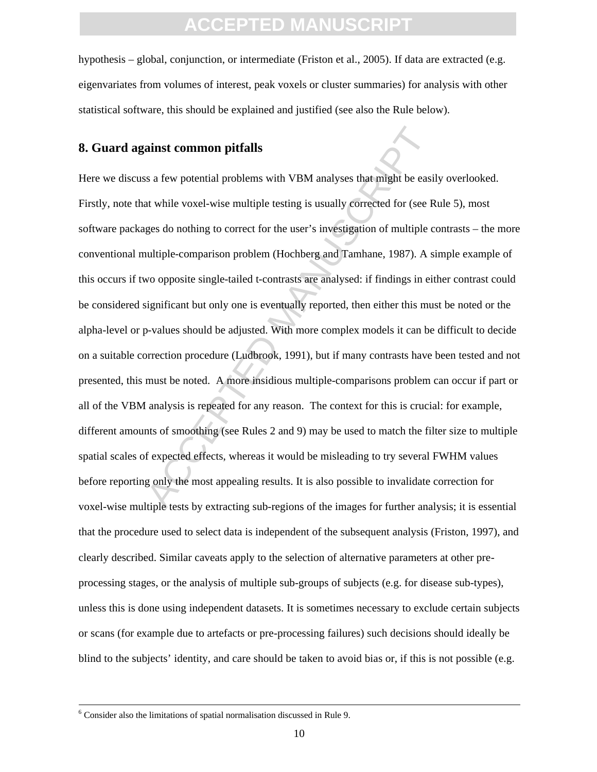hypothesis – global, conjunction, or intermediate (Friston et al., 2005). If data are extracted (e.g. eigenvariates from volumes of interest, peak voxels or cluster summaries) for analysis with other statistical software, this should be explained and justified (see also the Rule below).

#### **8. Guard against common pitfalls**

**Example 15 and Solution** Signal Singlet entired the mass of the mass of the two set the time entire entire to correct for the user's investigation of multiple comparison problem (Hochberg and Tamhane, 1987). A singlet-com Here we discuss a few potential problems with VBM analyses that might be easily overlooked. Firstly, note that while voxel-wise multiple testing is usually corrected for (see Rule 5), most software packages do nothing to correct for the user's investigation of multiple contrasts – the more conventional multiple-comparison problem (Hochberg and Tamhane, 1987). A simple example of this occurs if two opposite single-tailed t-contrasts are analysed: if findings in either contrast could be considered significant but only one is eventually reported, then either this must be noted or the alpha-level or p-values should be adjusted. With more complex models it can be difficult to decide on a suitable correction procedure (Ludbrook, 1991), but if many contrasts have been tested and not presented, this must be noted. A more insidious multiple-comparisons problem can occur if part or all of the VBM analysis is repeated for any reason. The context for this is crucial: for example, different amounts of smoothing (see Rules 2 and 9) may be used to match the filter size to multiple spatial scales of expected effects, whereas it would be misleading to try several FWHM values before reporting only the most appealing results. It is also possible to invalidate correction for voxel-wise multiple tests by extracting sub-regions of the images for further analysis; it is essential that the procedure used to select data is independent of the subsequent analysis (Friston, 1997), and clearly described. Similar caveats apply to the selection of alternative parameters at other preprocessing stages, or the analysis of multiple sub-groups of subjects (e.g. for disease sub-types), unless this is done using independent datasets. It is sometimes necessary to exclude certain subjects or scans (for example due to artefacts or pre-processing failures) such decisions should ideally be blind to the subjects' identity, and care should be taken to avoid bias or, if this is not possible (e.g.

l

<sup>6</sup> Consider also the limitations of spatial normalisation discussed in Rule 9.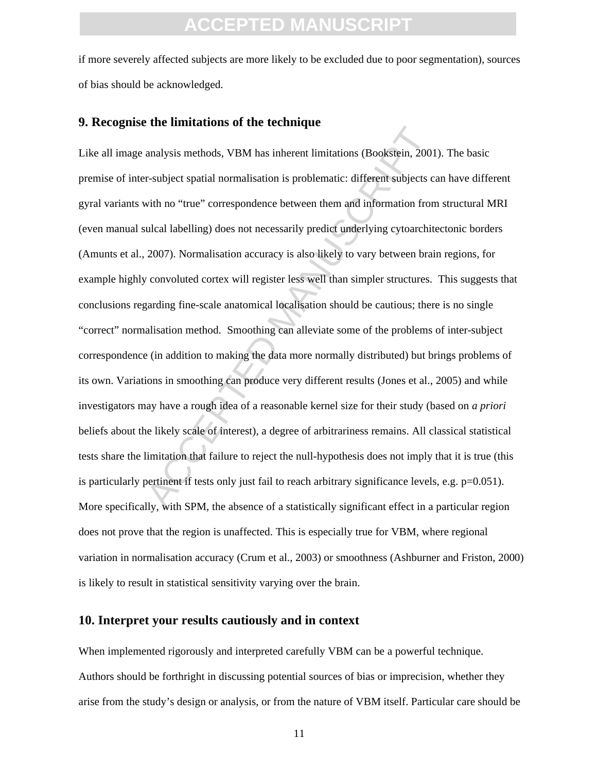if more severely affected subjects are more likely to be excluded due to poor segmentation), sources of bias should be acknowledged.

#### **9. Recognise the limitations of the technique**

analysis methods. VBM has inherent limitations (Bookstein, 2001<br>r-subject spatial normalisation is problematic: different subjects c:<br>with no "true" correspondence between them and information fron<br>ulcal labelling) does no Like all image analysis methods, VBM has inherent limitations (Bookstein, 2001). The basic premise of inter-subject spatial normalisation is problematic: different subjects can have different gyral variants with no "true" correspondence between them and information from structural MRI (even manual sulcal labelling) does not necessarily predict underlying cytoarchitectonic borders (Amunts et al., 2007). Normalisation accuracy is also likely to vary between brain regions, for example highly convoluted cortex will register less well than simpler structures. This suggests that conclusions regarding fine-scale anatomical localisation should be cautious; there is no single "correct" normalisation method. Smoothing can alleviate some of the problems of inter-subject correspondence (in addition to making the data more normally distributed) but brings problems of its own. Variations in smoothing can produce very different results (Jones et al., 2005) and while investigators may have a rough idea of a reasonable kernel size for their study (based on *a priori* beliefs about the likely scale of interest), a degree of arbitrariness remains. All classical statistical tests share the limitation that failure to reject the null-hypothesis does not imply that it is true (this is particularly pertinent if tests only just fail to reach arbitrary significance levels, e.g. p=0.051). More specifically, with SPM, the absence of a statistically significant effect in a particular region does not prove that the region is unaffected. This is especially true for VBM, where regional variation in normalisation accuracy (Crum et al., 2003) or smoothness (Ashburner and Friston, 2000) is likely to result in statistical sensitivity varying over the brain.

#### **10. Interpret your results cautiously and in context**

When implemented rigorously and interpreted carefully VBM can be a powerful technique. Authors should be forthright in discussing potential sources of bias or imprecision, whether they arise from the study's design or analysis, or from the nature of VBM itself. Particular care should be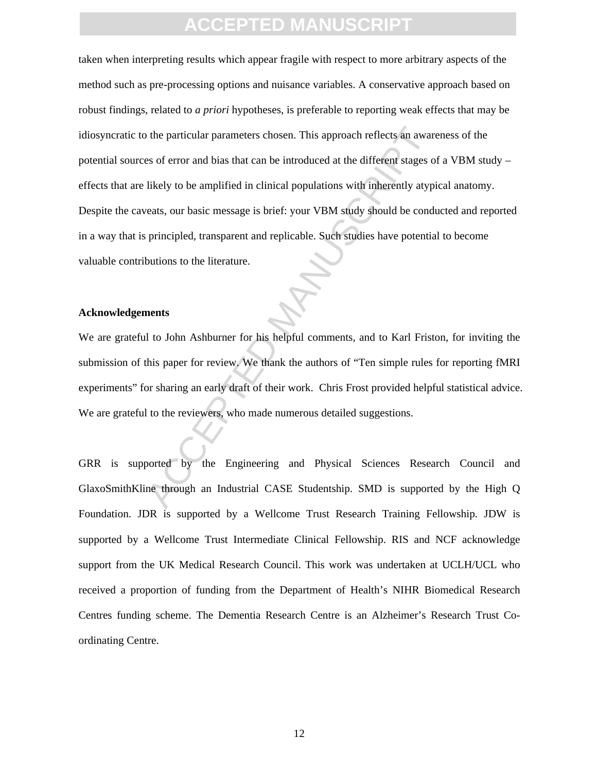of the particular parameters chosen. This approach reflects an awares of error and bias that can be introduced at the different stages of likely to be amplified in clinical populations with inherently atypicats, our basic taken when interpreting results which appear fragile with respect to more arbitrary aspects of the method such as pre-processing options and nuisance variables. A conservative approach based on robust findings, related to *a priori* hypotheses, is preferable to reporting weak effects that may be idiosyncratic to the particular parameters chosen. This approach reflects an awareness of the potential sources of error and bias that can be introduced at the different stages of a VBM study – effects that are likely to be amplified in clinical populations with inherently atypical anatomy. Despite the caveats, our basic message is brief: your VBM study should be conducted and reported in a way that is principled, transparent and replicable. Such studies have potential to become valuable contributions to the literature.

#### **Acknowledgements**

We are grateful to John Ashburner for his helpful comments, and to Karl Friston, for inviting the submission of this paper for review. We thank the authors of "Ten simple rules for reporting fMRI experiments" for sharing an early draft of their work. Chris Frost provided helpful statistical advice. We are grateful to the reviewers, who made numerous detailed suggestions.

GRR is supported by the Engineering and Physical Sciences Research Council and GlaxoSmithKline through an Industrial CASE Studentship. SMD is supported by the High Q Foundation. JDR is supported by a Wellcome Trust Research Training Fellowship. JDW is supported by a Wellcome Trust Intermediate Clinical Fellowship. RIS and NCF acknowledge support from the UK Medical Research Council. This work was undertaken at UCLH/UCL who received a proportion of funding from the Department of Health's NIHR Biomedical Research Centres funding scheme. The Dementia Research Centre is an Alzheimer's Research Trust Coordinating Centre.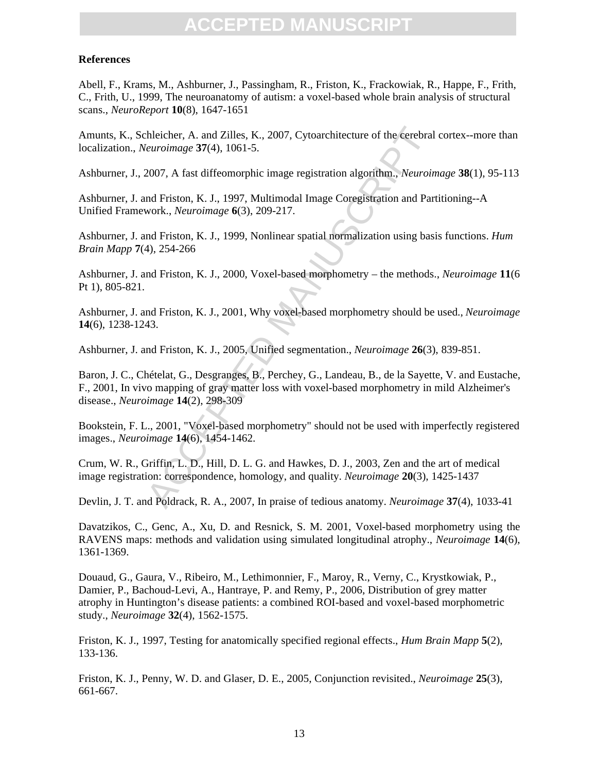#### **References**

Abell, F., Krams, M., Ashburner, J., Passingham, R., Friston, K., Frackowiak, R., Happe, F., Frith, C., Frith, U., 1999, The neuroanatomy of autism: a voxel-based whole brain analysis of structural scans., *NeuroReport* **10**(8), 1647-1651

Amunts, K., Schleicher, A. and Zilles, K., 2007, Cytoarchitecture of the cerebral cortex--more than localization., *Neuroimage* **37**(4), 1061-5.

Ashburner, J., 2007, A fast diffeomorphic image registration algorithm., *Neuroimage* **38**(1), 95-113

Ashburner, J. and Friston, K. J., 1997, Multimodal Image Coregistration and Partitioning--A Unified Framework., *Neuroimage* **6**(3), 209-217.

Ashburner, J. and Friston, K. J., 1999, Nonlinear spatial normalization using basis functions. *Hum Brain Mapp* **7**(4), 254-266

Ashburner, J. and Friston, K. J., 2000, Voxel-based morphometry – the methods., *Neuroimage* **11**(6 Pt 1), 805-821.

Ashburner, J. and Friston, K. J., 2001, Why voxel-based morphometry should be used., *Neuroimage* **14**(6), 1238-1243.

Ashburner, J. and Friston, K. J., 2005, Unified segmentation., *Neuroimage* **26**(3), 839-851.

theicher, A. and Zilles, K., 2007, Cytoarchitecture of the cerebral *euroimage* 37(4), 1061-5.<br>
2007, A fast diffeomorphic image registration algorithm., *Neuroim* nd Friston, K. J., 1997, Multimodal Image Coregistration Baron, J. C., Chételat, G., Desgranges, B., Perchey, G., Landeau, B., de la Sayette, V. and Eustache, F., 2001, In vivo mapping of gray matter loss with voxel-based morphometry in mild Alzheimer's disease., *Neuroimage* **14**(2), 298-309

Bookstein, F. L., 2001, "Voxel-based morphometry" should not be used with imperfectly registered images., *Neuroimage* **14**(6), 1454-1462.

Crum, W. R., Griffin, L. D., Hill, D. L. G. and Hawkes, D. J., 2003, Zen and the art of medical image registration: correspondence, homology, and quality. *Neuroimage* **20**(3), 1425-1437

Devlin, J. T. and Poldrack, R. A., 2007, In praise of tedious anatomy. *Neuroimage* **37**(4), 1033-41

Davatzikos, C., Genc, A., Xu, D. and Resnick, S. M. 2001, Voxel-based morphometry using the RAVENS maps: methods and validation using simulated longitudinal atrophy., *Neuroimage* **14**(6), 1361-1369.

Douaud, G., Gaura, V., Ribeiro, M., Lethimonnier, F., Maroy, R., Verny, C., Krystkowiak, P., Damier, P., Bachoud-Levi, A., Hantraye, P. and Remy, P., 2006, Distribution of grey matter atrophy in Huntington's disease patients: a combined ROI-based and voxel-based morphometric study., *Neuroimage* **32**(4), 1562-1575.

Friston, K. J., 1997, Testing for anatomically specified regional effects., *Hum Brain Mapp* **5**(2), 133-136.

Friston, K. J., Penny, W. D. and Glaser, D. E., 2005, Conjunction revisited., *Neuroimage* **25**(3), 661-667.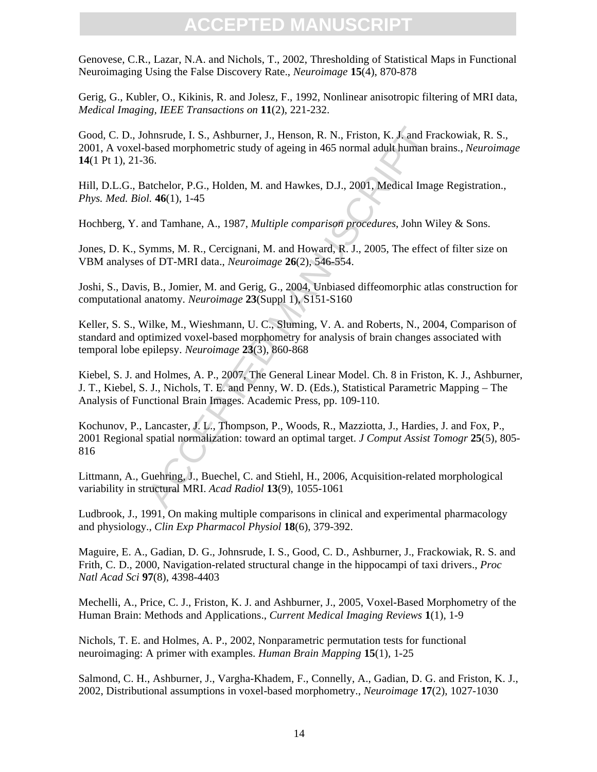Genovese, C.R., Lazar, N.A. and Nichols, T., 2002, Thresholding of Statistical Maps in Functional Neuroimaging Using the False Discovery Rate., *Neuroimage* **15**(4), 870-878

Gerig, G., Kubler, O., Kikinis, R. and Jolesz, F., 1992, Nonlinear anisotropic filtering of MRI data, *Medical Imaging, IEEE Transactions on* **11**(2), 221-232.

Good, C. D., Johnsrude, I. S., Ashburner, J., Henson, R. N., Friston, K. J. and Frackowiak, R. S., 2001, A voxel-based morphometric study of ageing in 465 normal adult human brains., *Neuroimage* **14**(1 Pt 1), 21-36.

Hill, D.L.G., Batchelor, P.G., Holden, M. and Hawkes, D.J., 2001, Medical Image Registration., *Phys. Med. Biol.* **46**(1), 1-45

Hochberg, Y. and Tamhane, A., 1987, *Multiple comparison procedures*, John Wiley & Sons.

Jones, D. K., Symms, M. R., Cercignani, M. and Howard, R. J., 2005, The effect of filter size on VBM analyses of DT-MRI data., *Neuroimage* **26**(2), 546-554.

Joshi, S., Davis, B., Jomier, M. and Gerig, G., 2004, Unbiased diffeomorphic atlas construction for computational anatomy. *Neuroimage* **23**(Suppl 1), S151-S160

Keller, S. S., Wilke, M., Wieshmann, U. C., Sluming, V. A. and Roberts, N., 2004, Comparison of standard and optimized voxel-based morphometry for analysis of brain changes associated with temporal lobe epilepsy. *Neuroimage* **23**(3), 860-868

Kiebel, S. J. and Holmes, A. P., 2007, The General Linear Model. Ch. 8 in Friston, K. J., Ashburner, J. T., Kiebel, S. J., Nichols, T. E. and Penny, W. D. (Eds.), Statistical Parametric Mapping – The Analysis of Functional Brain Images. Academic Press, pp. 109-110.

bhnsrude, I. S., Ashburner, J., Henson, R. N., Friston, K. J. and Franchard morphometric study of ageing in 465 normal adult human b 66.<br>atchelor, P.G., Holden, M. and Hawkes, D.J., 2001, Medical Imag.<br>4. 46(1), 1-45<br>md Ta Kochunov, P., Lancaster, J. L., Thompson, P., Woods, R., Mazziotta, J., Hardies, J. and Fox, P., 2001 Regional spatial normalization: toward an optimal target. *J Comput Assist Tomogr* **25**(5), 805- 816

Littmann, A., Guehring, J., Buechel, C. and Stiehl, H., 2006, Acquisition-related morphological variability in structural MRI. *Acad Radiol* **13**(9), 1055-1061

Ludbrook, J., 1991, On making multiple comparisons in clinical and experimental pharmacology and physiology., *Clin Exp Pharmacol Physiol* **18**(6), 379-392.

Maguire, E. A., Gadian, D. G., Johnsrude, I. S., Good, C. D., Ashburner, J., Frackowiak, R. S. and Frith, C. D., 2000, Navigation-related structural change in the hippocampi of taxi drivers., *Proc Natl Acad Sci* **97**(8), 4398-4403

Mechelli, A., Price, C. J., Friston, K. J. and Ashburner, J., 2005, Voxel-Based Morphometry of the Human Brain: Methods and Applications., *Current Medical Imaging Reviews* **1**(1), 1-9

Nichols, T. E. and Holmes, A. P., 2002, Nonparametric permutation tests for functional neuroimaging: A primer with examples. *Human Brain Mapping* **15**(1), 1-25

Salmond, C. H., Ashburner, J., Vargha-Khadem, F., Connelly, A., Gadian, D. G. and Friston, K. J., 2002, Distributional assumptions in voxel-based morphometry., *Neuroimage* **17**(2), 1027-1030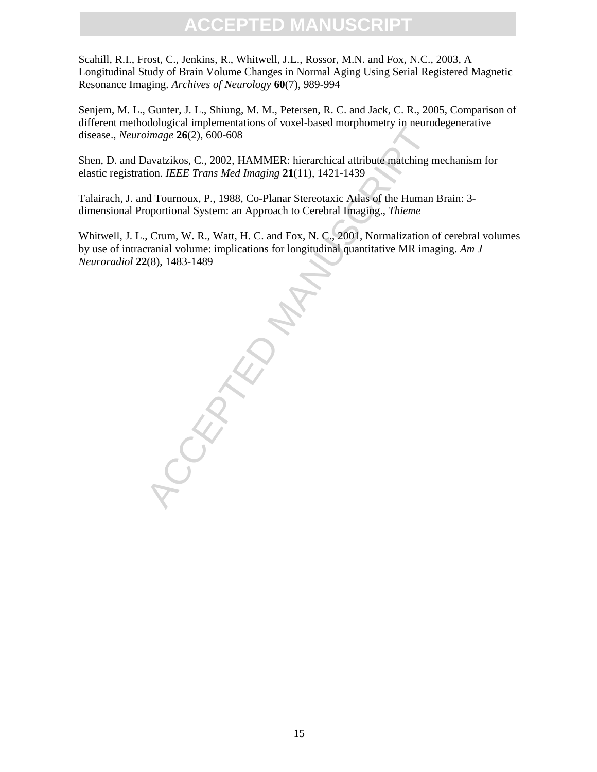Scahill, R.I., Frost, C., Jenkins, R., Whitwell, J.L., Rossor, M.N. and Fox, N.C., 2003, A Longitudinal Study of Brain Volume Changes in Normal Aging Using Serial Registered Magnetic Resonance Imaging. *Archives of Neurology* **60**(7), 989-994

Senjem, M. L., Gunter, J. L., Shiung, M. M., Petersen, R. C. and Jack, C. R., 2005, Comparison of different methodological implementations of voxel-based morphometry in neurodegenerative disease., *Neuroimage* **26**(2), 600-608

Shen, D. and Davatzikos, C., 2002, HAMMER: hierarchical attribute matching mechanism for elastic registration. *IEEE Trans Med Imaging* **21**(11), 1421-1439

Talairach, J. and Tournoux, P., 1988, Co-Planar Stereotaxic Atlas of the Human Brain: 3 dimensional Proportional System: an Approach to Cerebral Imaging., *Thieme*

Whitwell, J. L., Crum, W. R., Watt, H. C. and Fox, N. C., 2001, Normalization of cerebral volumes by use of intracranial volume: implications for longitudinal quantitative MR imaging. *Am J Neuroradiol* **22**(8), 1483-1489

RANTE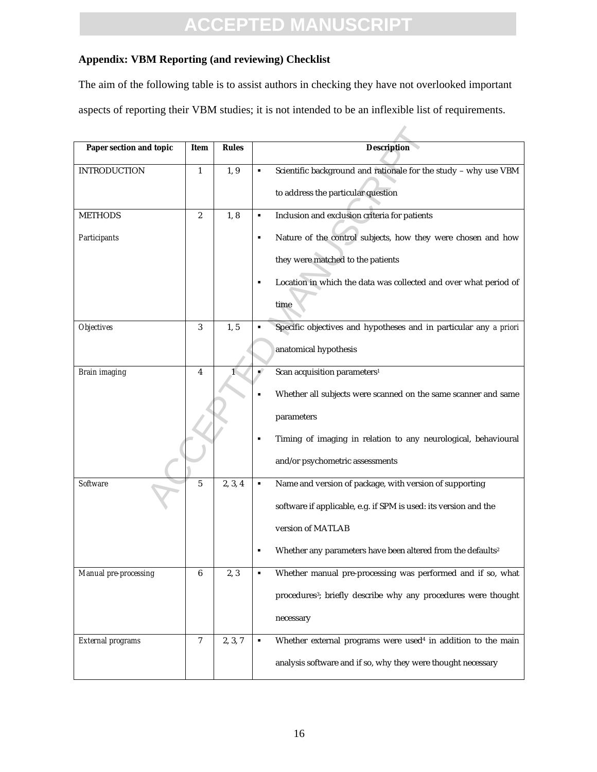#### **Appendix: VBM Reporting (and reviewing) Checklist**

The aim of the following table is to assist authors in checking they have not overlooked important

aspects of reporting their VBM studies; it is not intended to be an inflexible list of requirements.

| Paper section and topic | Item           | <b>Rules</b> |    | <b>Description</b>                                                         |  |
|-------------------------|----------------|--------------|----|----------------------------------------------------------------------------|--|
| <b>INTRODUCTION</b>     | 1              | 1, 9         | ٠  | Scientific background and rationale for the study - why use VBM            |  |
|                         |                |              |    | to address the particular question                                         |  |
| <b>METHODS</b>          | $\overline{2}$ | 1, 8         | ٠  | Inclusion and exclusion criteria for patients                              |  |
| Participants            |                |              | ٠  | Nature of the control subjects, how they were chosen and how               |  |
|                         |                |              |    | they were matched to the patients                                          |  |
|                         |                |              | ٠  | Location in which the data was collected and over what period of           |  |
|                         |                |              |    | time                                                                       |  |
| <b>Objectives</b>       | 3              | 1, 5         |    | Specific objectives and hypotheses and in particular any a priori          |  |
|                         |                |              |    | anatomical hypothesis                                                      |  |
| <b>Brain</b> imaging    | 4              |              | u) | Scan acquisition parameters <sup>1</sup>                                   |  |
|                         |                |              |    | Whether all subjects were scanned on the same scanner and same             |  |
|                         |                |              |    | parameters                                                                 |  |
|                         |                |              | ٠  | Timing of imaging in relation to any neurological, behavioural             |  |
|                         |                |              |    | and/or psychometric assessments                                            |  |
| <b>Software</b>         | 5              | 2, 3, 4      | ٠  | Name and version of package, with version of supporting                    |  |
|                         |                |              |    | software if applicable, e.g. if SPM is used: its version and the           |  |
|                         |                |              |    | version of MATLAB                                                          |  |
|                         |                |              | п  | Whether any parameters have been altered from the defaults <sup>2</sup>    |  |
| Manual pre-processing   | 6              | 2, 3         | ٠  | Whether manual pre-processing was performed and if so, what                |  |
|                         |                |              |    | procedures <sup>3</sup> ; briefly describe why any procedures were thought |  |
|                         |                |              |    | necessary                                                                  |  |
| External programs       | 7              | 2, 3, 7      | ٠  | Whether external programs were used <sup>4</sup> in addition to the main   |  |
|                         |                |              |    | analysis software and if so, why they were thought necessary               |  |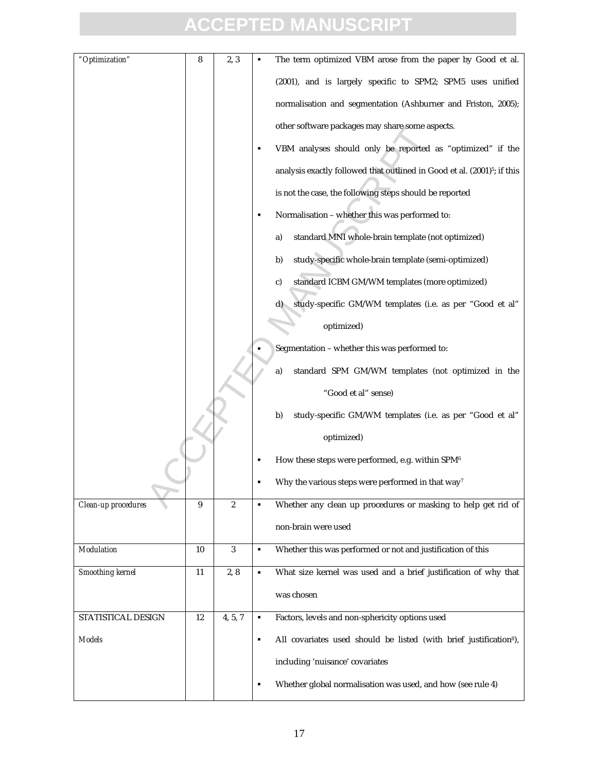| "Optimization"      | 8  | 2, 3             |                | The term optimized VBM arose from the paper by Good et al.                           |
|---------------------|----|------------------|----------------|--------------------------------------------------------------------------------------|
|                     |    |                  |                | (2001), and is largely specific to SPM2; SPM5 uses unified                           |
|                     |    |                  |                | normalisation and segmentation (Ashburner and Friston, 2005);                        |
|                     |    |                  |                | other software packages may share some aspects.                                      |
|                     |    |                  | п              | VBM analyses should only be reported as "optimized" if the                           |
|                     |    |                  |                | analysis exactly followed that outlined in Good et al. (2001) <sup>5</sup> ; if this |
|                     |    |                  |                | is not the case, the following steps should be reported                              |
|                     |    |                  | ٠              | Normalisation - whether this was performed to:                                       |
|                     |    |                  |                | standard MNI whole-brain template (not optimized)<br>a)                              |
|                     |    |                  |                | study-specific whole-brain template (semi-optimized)<br>b)                           |
|                     |    |                  |                | standard ICBM GM/WM templates (more optimized)<br>c)                                 |
|                     |    |                  |                | study-specific GM/WM templates (i.e. as per "Good et al"<br>d)                       |
|                     |    |                  |                | optimized)                                                                           |
|                     |    |                  |                | Segmentation - whether this was performed to:                                        |
|                     |    |                  |                | standard SPM GM/WM templates (not optimized in the<br>a)                             |
|                     |    |                  |                | "Good et al" sense)                                                                  |
|                     |    |                  |                | study-specific GM/WM templates (i.e. as per "Good et al"<br>b)                       |
|                     |    |                  |                | optimized)                                                                           |
|                     |    |                  |                | How these steps were performed, e.g. within SPM6                                     |
|                     |    |                  |                | Why the various steps were performed in that way <sup>7</sup>                        |
| Clean-up procedures | 9  | $\boldsymbol{2}$ | $\blacksquare$ | Whether any clean up procedures or masking to help get rid of                        |
|                     |    |                  |                | non-brain were used                                                                  |
| Modulation          | 10 | $\boldsymbol{3}$ | ٠              | Whether this was performed or not and justification of this                          |
| Smoothing kernel    | 11 | 2, 8             | ٠              | What size kernel was used and a brief justification of why that                      |
|                     |    |                  |                | was chosen                                                                           |
| STATISTICAL DESIGN  | 12 | 4, 5, 7          | ٠              | Factors, levels and non-sphericity options used                                      |
| <b>Models</b>       |    |                  | ٠              | All covariates used should be listed (with brief justification <sup>8</sup> ),       |
|                     |    |                  |                | including 'nuisance' covariates                                                      |
|                     |    |                  | $\blacksquare$ | Whether global normalisation was used, and how (see rule 4)                          |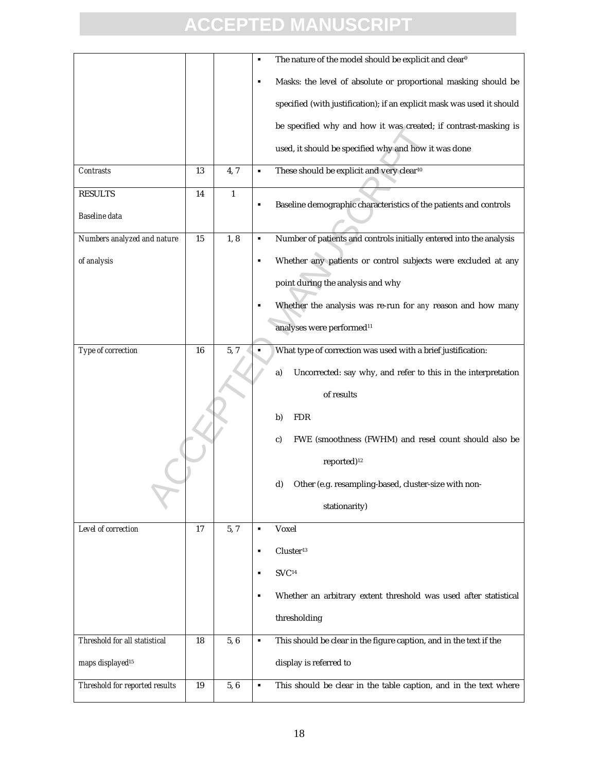|                                |    |              | The nature of the model should be explicit and clear <sup>9</sup><br>П   |
|--------------------------------|----|--------------|--------------------------------------------------------------------------|
|                                |    |              | Masks: the level of absolute or proportional masking should be<br>٠      |
|                                |    |              | specified (with justification); if an explicit mask was used it should   |
|                                |    |              | be specified why and how it was created; if contrast-masking is          |
|                                |    |              | used, it should be specified why and how it was done                     |
| Contrasts                      | 13 | 4,7          | These should be explicit and very clear <sup>10</sup><br>٠               |
| <b>RESULTS</b>                 | 14 | $\mathbf{1}$ |                                                                          |
| Baseline data                  |    |              | Baseline demographic characteristics of the patients and controls<br>п   |
| Numbers analyzed and nature    | 15 | 1, 8         | Number of patients and controls initially entered into the analysis<br>Ξ |
| of analysis                    |    |              | Whether any patients or control subjects were excluded at any<br>П       |
|                                |    |              | point during the analysis and why                                        |
|                                |    |              | Whether the analysis was re-run for any reason and how many              |
|                                |    |              | analyses were performed <sup>11</sup>                                    |
| Type of correction             | 16 | 5, 7         | What type of correction was used with a brief justification:<br>٠        |
|                                |    |              | Uncorrected: say why, and refer to this in the interpretation<br>a)      |
|                                |    |              | of results                                                               |
|                                |    |              | <b>FDR</b><br>b)                                                         |
|                                |    |              | FWE (smoothness (FWHM) and resel count should also be<br>c)              |
|                                |    |              | reported) <sup>12</sup>                                                  |
|                                |    |              | d)<br>Other (e.g. resampling-based, cluster-size with non-               |
|                                |    |              | stationarity)                                                            |
| Level of correction            | 17 | 5, 7         | Voxel<br>$\blacksquare$                                                  |
|                                |    |              | Cluster <sup>13</sup><br>٠                                               |
|                                |    |              | $\mathrm{SVC^{14}}$<br>٠                                                 |
|                                |    |              | Whether an arbitrary extent threshold was used after statistical<br>п    |
|                                |    |              | thresholding                                                             |
| Threshold for all statistical  | 18 | 5,6          | This should be clear in the figure caption, and in the text if the<br>٠  |
| maps displayed <sup>15</sup>   |    |              | display is referred to                                                   |
| Threshold for reported results | 19 | 5,6          | This should be clear in the table caption, and in the text where<br>٠    |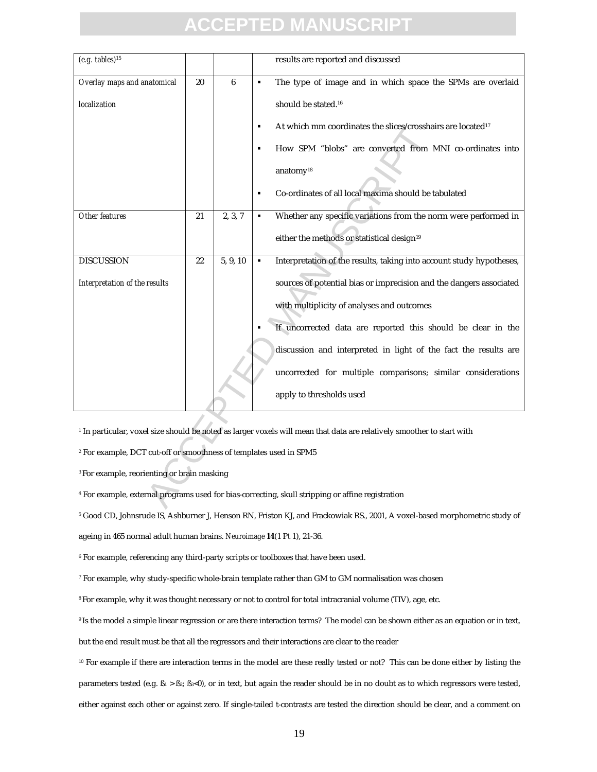| $(e.g.$ tables) $15$                                                                                                              |    |          |                | results are reported and discussed                                      |  |
|-----------------------------------------------------------------------------------------------------------------------------------|----|----------|----------------|-------------------------------------------------------------------------|--|
| Overlay maps and anatomical                                                                                                       | 20 | 6        | $\blacksquare$ | The type of image and in which space the SPMs are overlaid              |  |
| localization                                                                                                                      |    |          |                | should be stated. <sup>16</sup>                                         |  |
|                                                                                                                                   |    |          | $\blacksquare$ | At which mm coordinates the slices/crosshairs are located <sup>17</sup> |  |
|                                                                                                                                   |    |          | $\blacksquare$ | How SPM "blobs" are converted from MNI co-ordinates into                |  |
|                                                                                                                                   |    |          |                | anatomy <sup>18</sup>                                                   |  |
|                                                                                                                                   |    |          | $\blacksquare$ | Co-ordinates of all local maxima should be tabulated                    |  |
| Other features                                                                                                                    | 21 | 2, 3, 7  | ٠              | Whether any specific variations from the norm were performed in         |  |
|                                                                                                                                   |    |          |                | either the methods or statistical design <sup>19</sup>                  |  |
| <b>DISCUSSION</b>                                                                                                                 | 22 | 5, 9, 10 | $\blacksquare$ | Interpretation of the results, taking into account study hypotheses,    |  |
| Interpretation of the results                                                                                                     |    |          |                | sources of potential bias or imprecision and the dangers associated     |  |
|                                                                                                                                   |    |          |                | with multiplicity of analyses and outcomes                              |  |
|                                                                                                                                   |    |          |                | If uncorrected data are reported this should be clear in the            |  |
|                                                                                                                                   |    |          |                | discussion and interpreted in light of the fact the results are         |  |
|                                                                                                                                   |    |          |                | uncorrected for multiple comparisons; similar considerations            |  |
|                                                                                                                                   |    |          |                | apply to thresholds used                                                |  |
|                                                                                                                                   |    |          |                |                                                                         |  |
| <sup>1</sup> In particular, voxel size should be noted as larger voxels will mean that data are relatively smoother to start with |    |          |                |                                                                         |  |
| <sup>2</sup> For example, DCT cut-off or smoothness of templates used in SPM5                                                     |    |          |                |                                                                         |  |
| <sup>3</sup> For example, reorienting or brain masking                                                                            |    |          |                |                                                                         |  |
| <sup>4</sup> For example, external programs used for bias-correcting, skull stripping or affine registration                      |    |          |                |                                                                         |  |

5 Good CD, Johnsrude IS, Ashburner J, Henson RN, Friston KJ, and Frackowiak RS., 2001, A voxel-based morphometric study of

ageing in 465 normal adult human brains. *Neuroimage* **14**(1 Pt 1), 21-36.

6 For example, referencing any third-party scripts or toolboxes that have been used.

 $^7$  For example, why study-specific whole-brain template rather than GM to GM normalisation was chosen

<sup>8</sup>For example, why it was thought necessary or not to control for total intracranial volume (TIV), age, etc.

<sup>9</sup>Is the model a simple linear regression or are there interaction terms? The model can be shown either as an equation or in text,

but the end result must be that all the regressors and their interactions are clear to the reader

<sup>10</sup> For example if there are interaction terms in the model are these really tested or not? This can be done either by listing the parameters tested (e.g.  $B_1 > B_2$ ;  $B_3 < 0$ ), or in text, but again the reader should be in no doubt as to which regressors were tested, either against each other or against zero. If single-tailed t-contrasts are tested the direction should be clear, and a comment on